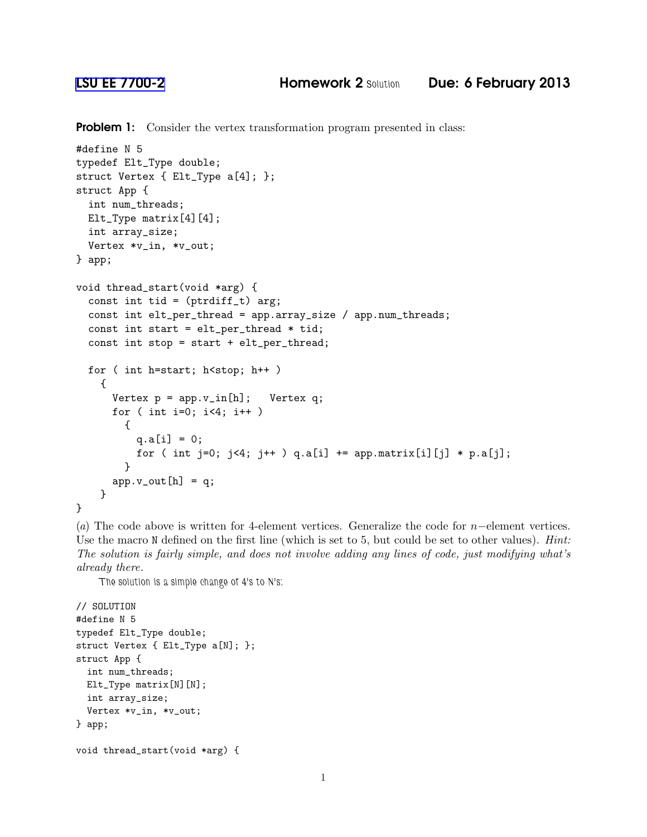**Problem 1:** Consider the vertex transformation program presented in class:

```
#define N 5
typedef Elt_Type double;
struct Vertex { Elt_Type a[4]; };
struct App {
 int num_threads;
 Elt_Type matrix[4][4];
 int array_size;
 Vertex *v_in, *v_out;
} app;
void thread_start(void *arg) {
  const int tid = (\text{ptridiff}_t) arg;
  const int elt_per_thread = app.array_size / app.num_threads;
  const int start = elt_per_thread * tid;
  const int stop = start + elt_per_thread;
 for ( int h=start; h < stop; h + + )
    {
      Vertex p = app.v_in[h]; Vertex q;
      for ( int i=0; i<4; i++ )
        {
          q.a[i] = 0;for ( int j=0; j<4; j++ ) q.a[i] += app.maxrix[i][j] * p.a[j];
        }
      app.v_out[h] = q;}
}
```
(*a*) The code above is written for 4-element vertices. Generalize the code for n−element vertices. Use the macro N defined on the first line (which is set to 5, but could be set to other values). *Hint: The solution is fairly simple, and does not involve adding any lines of code, just modifying what's already there.*

*The solution is a simple change of 4's to N's:*

```
// SOLUTION
#define N 5
typedef Elt_Type double;
struct Vertex { Elt_Type a[N]; };
struct App {
 int num_threads;
 Elt_Type matrix[N][N];
 int array_size;
 Vertex *v_in, *v_out;
} app;
```

```
void thread_start(void *arg) {
```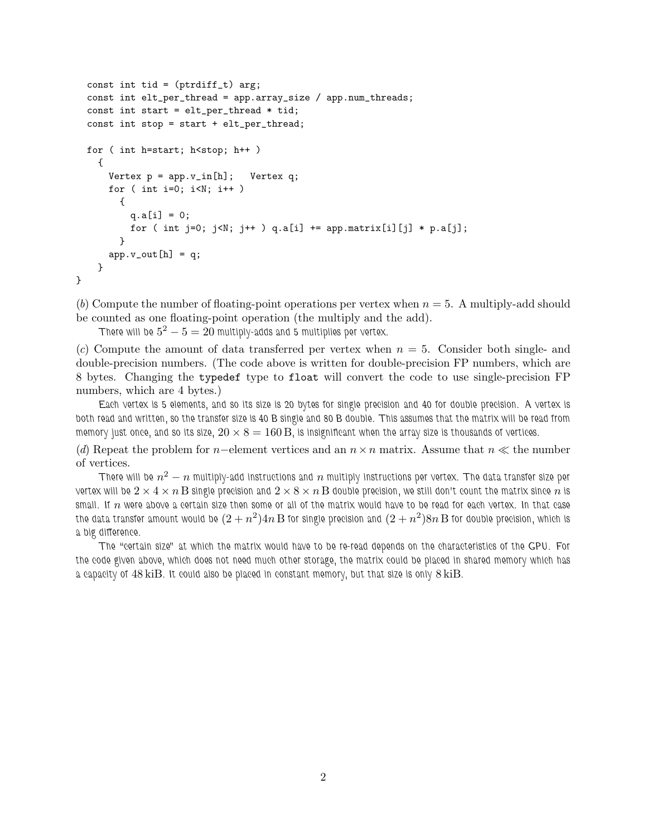```
const int tid = (ptrdiff_t) arg;
  const int elt_per_thread = app.array_size / app.num_threads;
  const int start = elt_per_thread * tid;
  const int stop = start + elt_per_thread;
  for ( int h=start; h<stop; h++ )
    {
      Vertex p = app.v_in[h]; Vertex q;
      for ( int i=0; i< N; i++ )
        {
          q.a[i] = 0;for ( int j=0; j\le N; j++ ) q.a[i] += app.maxrix[i][j] * p.a[j];
        }
     app.v_out[h] = q;}
}
```
(*b*) Compute the number of floating-point operations per vertex when  $n = 5$ . A multiply-add should be counted as one floating-point operation (the multiply and the add).

*There will be*  $5^2 - 5 = 20$  *multiply-adds and 5 multiplies per vertex.* 

 $(c)$  Compute the amount of data transferred per vertex when  $n = 5$ . Consider both single- and double-precision numbers. (The code above is written for double-precision FP numbers, which are 8 bytes. Changing the typedef type to float will convert the code to use single-precision FP numbers, which are 4 bytes.)

*Each vertex is 5 elements, and so its size is 20 bytes for single precision and 40 for double precision. A vertex is both read and written, so the transfer size is 40 B single and 80 B double. This assumes that the matrix will be read from memory just once, and so its size,*  $20 \times 8 = 160 B$ , is insignificant when the array size is thousands of vertices.

(*d*) Repeat the problem for n–element vertices and an  $n \times n$  matrix. Assume that  $n \ll$  the number of vertices.

 $\pi$ here will be  $n^2-n$  multiply-add instructions and  $n$  multiply instructions per vertex. The data transfer size per *vertex will be*  $2 \times 4 \times n$  B single precision and  $2 \times 8 \times n$  B double precision, we still don't count the matrix since n is *small. If* n *were above a certain size then some or all of the matrix would have to be read for each vertex. In that case* the data transfer amount would be  $(2+n^2)4n\,\mathrm{B}$  for single precision and  $(2+n^2)8n\,\mathrm{B}$  for double precision, which is *a big difference.*

*The "certain size" at which the matrix would have to be re-read depends on the characteristics of the GPU. For the code given above, which does not need much other storage, the matrix could be placed in shared memory which has a capacity of* 48 kiB*. It could also be placed in constant memory, but that size is only* 8 kiB*.*